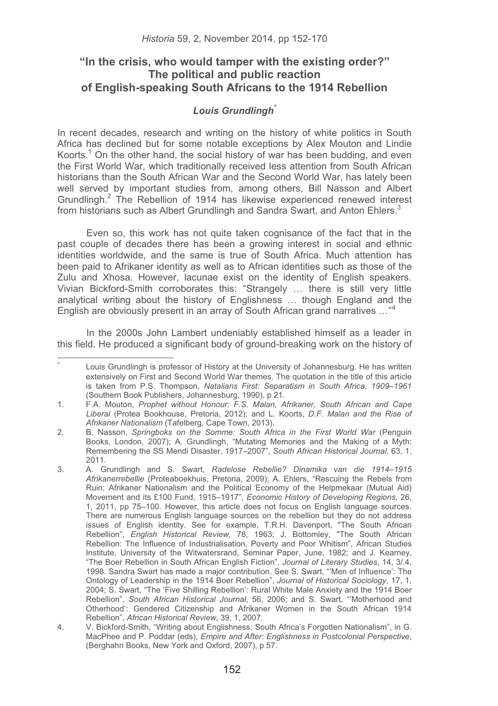# **"In the crisis, who would tamper with the existing order?" The political and public reaction of English-speaking South Africans to the 1914 Rebellion**

## *Louis Grundlingh\**

In recent decades, research and writing on the history of white politics in South Africa has declined but for some notable exceptions by Alex Mouton and Lindie Koorts.<sup>1</sup> On the other hand, the social history of war has been budding, and even the First World War, which traditionally received less attention from South African historians than the South African War and the Second World War, has lately been well served by important studies from, among others, Bill Nasson and Albert Grundlingh.<sup>2</sup> The Rebellion of 1914 has likewise experienced renewed interest from historians such as Albert Grundlingh and Sandra Swart, and Anton Ehlers.<sup>3</sup>

Even so, this work has not quite taken cognisance of the fact that in the past couple of decades there has been a growing interest in social and ethnic identities worldwide, and the same is true of South Africa. Much attention has been paid to Afrikaner identity as well as to African identities such as those of the Zulu and Xhosa. However, lacunae exist on the identity of English speakers. Vivian Bickford-Smith corroborates this: "Strangely … there is still very little analytical writing about the history of Englishness … though England and the English are obviously present in an array of South African grand narratives …"<sup>4</sup>

In the 2000s John Lambert undeniably established himself as a leader in this field. He produced a significant body of ground-breaking work on the history of

<sup>\*</sup> Louis Grundlingh is professor of History at the University of Johannesburg. He has written extensively on First and Second World War themes. The quotation in the title of this article is taken from P.S. Thompson, *Natalians First: Separatism in South Africa, 1909–1961* (Southern Book Publishers, Johannesburg, 1990), p 21.

<sup>1.</sup> F.A. Mouton, *Prophet without Honour: F.S. Malan, Afrikaner, South African and Cape Liberal* (Protea Bookhouse, Pretoria, 2012); and L. Koorts, *D.F. Malan and the Rise of Afrikaner Nationalism* (Tafelberg, Cape Town, 2013).

<sup>2.</sup> B. Nasson, *Springboks on the Somme: South Africa in the First World War* (Penguin Books, London, 2007); A. Grundlingh, "Mutating Memories and the Making of a Myth: Remembering the SS Mendi Disaster, 1917–2007", *South African Historical Journal*, 63, 1, 2011.

<sup>3.</sup> A. Grundlingh and S. Swart, *Radelose Rebellie? Dinamika van die 1914–1915 Afrikanerrebellie* (Proteaboekhuis, Pretoria, 2009); A. Ehlers, "Rescuing the Rebels from Ruin: Afrikaner Nationalism and the Political Economy of the Helpmekaar (Mutual Aid) Movement and its £100 Fund, 1915–1917", *Economic History of Developing Regions*, 26, 1, 2011, pp 75–100. However, this article does not focus on English language sources. There are numerous English language sources on the rebellion but they do not address issues of English identity. See for example, T.R.H. Davenport, "The South African Rebellion", *English Historical Review*, 78, 1963; J. Bottomley, "The South African Rebellion: The Influence of Industrialisation, Poverty and Poor Whitism", African Studies Institute, University of the Witwatersrand, Seminar Paper, June, 1982; and J. Kearney, "The Boer Rebellion in South African English Fiction", *Journal of Literary Studies*, 14, 3/.4, 1998. Sandra Swart has made a major contribution. See S. Swart, "'Men of Influence': The Ontology of Leadership in the 1914 Boer Rebellion", *Journal of Historical Sociology*, 17, 1, 2004; S. Swart, "The 'Five Shilling Rebellion': Rural White Male Anxiety and the 1914 Boer Rebellion", *South African Historical Journal*, 56, 2006; and S. Swart, "'Motherhood and Otherhood': Gendered Citizenship and Afrikaner Women in the South African 1914 Rebellion", *African Historical Review*, 39, 1, 2007.

<sup>4.</sup> V. Bickford-Smith, "Writing about Englishness: South Africa's Forgotten Nationalism", in G. MacPhee and P. Poddar (eds), *Empire and After: Englishness in Postcolonial Perspective*, (Berghahn Books, New York and Oxford, 2007), p 57.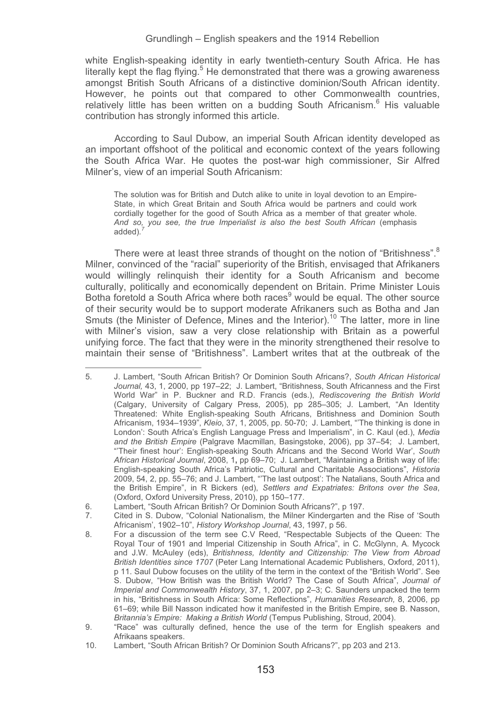white English-speaking identity in early twentieth-century South Africa. He has literally kept the flag flying.<sup>5</sup> He demonstrated that there was a growing awareness amongst British South Africans of a distinctive dominion/South African identity. However, he points out that compared to other Commonwealth countries, relatively little has been written on a budding South Africanism.<sup>6</sup> His valuable contribution has strongly informed this article.

According to Saul Dubow, an imperial South African identity developed as an important offshoot of the political and economic context of the years following the South Africa War. He quotes the post-war high commissioner, Sir Alfred Milner's, view of an imperial South Africanism:

The solution was for British and Dutch alike to unite in loyal devotion to an Empire-State, in which Great Britain and South Africa would be partners and could work cordially together for the good of South Africa as a member of that greater whole. And so, you see, the true Imperialist is also the best South African (emphasis added)*. 7*

There were at least three strands of thought on the notion of "Britishness".<sup>8</sup> Milner, convinced of the "racial" superiority of the British, envisaged that Afrikaners would willingly relinquish their identity for a South Africanism and become culturally, politically and economically dependent on Britain. Prime Minister Louis Botha foretold a South Africa where both races<sup>9</sup> would be equal. The other source of their security would be to support moderate Afrikaners such as Botha and Jan Smuts (the Minister of Defence, Mines and the Interior).<sup>10</sup> The latter, more in line with Milner's vision, saw a very close relationship with Britain as a powerful unifying force. The fact that they were in the minority strengthened their resolve to maintain their sense of "Britishness". Lambert writes that at the outbreak of the

<sup>5.</sup> J. Lambert, "South African British? Or Dominion South Africans?, *South African Historical Journal,* 43, 1, 2000, pp 197–22; J. Lambert, "Britishness, South Africanness and the First World War" in P. Buckner and R.D. Francis (eds.), *Rediscovering the British World* (Calgary, University of Calgary Press, 2005), pp 285–305; J. Lambert, "An Identity Threatened: White English-speaking South Africans, Britishness and Dominion South Africanism, 1934–1939", *Kleio*, 37, 1, 2005, pp. 50-70; J. Lambert, "'The thinking is done in London': South Africa's English Language Press and Imperialism", in C. Kaul (ed.), *Media*  and the British Empire (Palgrave Macmillan, Basingstoke, 2006), pp 37–54; J. Lambert, "'Their finest hour': English-speaking South Africans and the Second World War', *South African Historical Journal*, 2008, 1**,** pp 69–70; J. Lambert, "Maintaining a British way of life: English-speaking South Africa's Patriotic, Cultural and Charitable Associations", *Historia* 2009, 54, 2, pp. 55–76; and J. Lambert, "'The last outpost': The Natalians, South Africa and the British Empire", in R Bickers (ed), *Settlers and Expatriates: Britons over the Sea*, (Oxford, Oxford University Press, 2010), pp 150–177.

<sup>6.</sup> Lambert, "South African British? Or Dominion South Africans?", p 197.

<sup>7.</sup> Cited in S. Dubow, "Colonial Nationalism, the Milner Kindergarten and the Rise of 'South Africanism', 1902–10", *History Workshop Journal*, 43, 1997, p 56.

<sup>8.</sup> For a discussion of the term see C.V Reed, "Respectable Subjects of the Queen: The Royal Tour of 1901 and Imperial Citizenship in South Africa", in C. McGlynn, A. Mycock and J.W. McAuley (eds), *Britishness, Identity and Citizenship: The View from Abroad British Identities since 1707* (Peter Lang International Academic Publishers, Oxford, 2011), p 11. Saul Dubow focuses on the utility of the term in the context of the "British World". See S. Dubow, "How British was the British World? The Case of South Africa", *Journal of Imperial and Commonwealth History*, 37, 1, 2007, pp 2–3; C. Saunders unpacked the term in his, "Britishness in South Africa: Some Reflections", *Humanities Research,* 8, 2006, pp 61–69; while Bill Nasson indicated how it manifested in the British Empire, see B. Nasson, *Britannia's Empire: Making a British World* (Tempus Publishing, Stroud, 2004).

<sup>9. &</sup>quot;Race" was culturally defined, hence the use of the term for English speakers and Afrikaans speakers.

<sup>10.</sup> Lambert, "South African British? Or Dominion South Africans?", pp 203 and 213.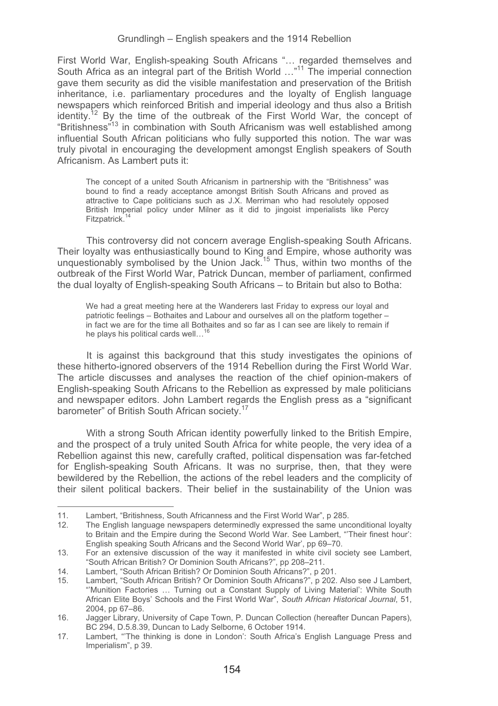First World War, English-speaking South Africans "… regarded themselves and South Africa as an integral part of the British World ..."<sup>11</sup> The imperial connection gave them security as did the visible manifestation and preservation of the British inheritance, i.e. parliamentary procedures and the loyalty of English language newspapers which reinforced British and imperial ideology and thus also a British identity.<sup>12</sup> By the time of the outbreak of the First World War, the concept of "Britishness"13 in combination with South Africanism was well established among influential South African politicians who fully supported this notion. The war was truly pivotal in encouraging the development amongst English speakers of South Africanism. As Lambert puts it:

The concept of a united South Africanism in partnership with the "Britishness" was bound to find a ready acceptance amongst British South Africans and proved as attractive to Cape politicians such as J.X. Merriman who had resolutely opposed British Imperial policy under Milner as it did to jingoist imperialists like Percy Fitzpatrick.<sup>14</sup>

This controversy did not concern average English-speaking South Africans. Their loyalty was enthusiastically bound to King and Empire, whose authority was unquestionably symbolised by the Union Jack.15 Thus, within two months of the outbreak of the First World War, Patrick Duncan, member of parliament, confirmed the dual loyalty of English-speaking South Africans – to Britain but also to Botha:

We had a great meeting here at the Wanderers last Friday to express our loyal and patriotic feelings – Bothaites and Labour and ourselves all on the platform together – in fact we are for the time all Bothaites and so far as I can see are likely to remain if he plays his political cards well...<sup>16</sup>

It is against this background that this study investigates the opinions of these hitherto-ignored observers of the 1914 Rebellion during the First World War. The article discusses and analyses the reaction of the chief opinion-makers of English-speaking South Africans to the Rebellion as expressed by male politicians and newspaper editors. John Lambert regards the English press as a "significant barometer" of British South African society.<sup>1</sup>

With a strong South African identity powerfully linked to the British Empire, and the prospect of a truly united South Africa for white people, the very idea of a Rebellion against this new, carefully crafted, political dispensation was far-fetched for English-speaking South Africans. It was no surprise, then, that they were bewildered by the Rebellion, the actions of the rebel leaders and the complicity of their silent political backers. Their belief in the sustainability of the Union was

11. Lambert, "Britishness, South Africanness and the First World War", p 285.

<sup>12.</sup> The English language newspapers determinedly expressed the same unconditional loyalty to Britain and the Empire during the Second World War. See Lambert, "'Their finest hour': English speaking South Africans and the Second World War', pp 69–70.

<sup>13.</sup> For an extensive discussion of the way it manifested in white civil society see Lambert, "South African British? Or Dominion South Africans?", pp 208–211.

<sup>14.</sup> Lambert, "South African British? Or Dominion South Africans?", p 201.

<sup>15.</sup> Lambert, "South African British? Or Dominion South Africans?", p 202. Also see J Lambert, "'Munition Factories … Turning out a Constant Supply of Living Material': White South African Elite Boys' Schools and the First World War", *South African Historical Journal*, 51, 2004, pp 67–86.

<sup>16.</sup> Jagger Library, University of Cape Town, P. Duncan Collection (hereafter Duncan Papers), BC 294, D.5.8.39, Duncan to Lady Selborne, 6 October 1914.

<sup>17.</sup> Lambert, "'The thinking is done in London': South Africa's English Language Press and Imperialism", p 39.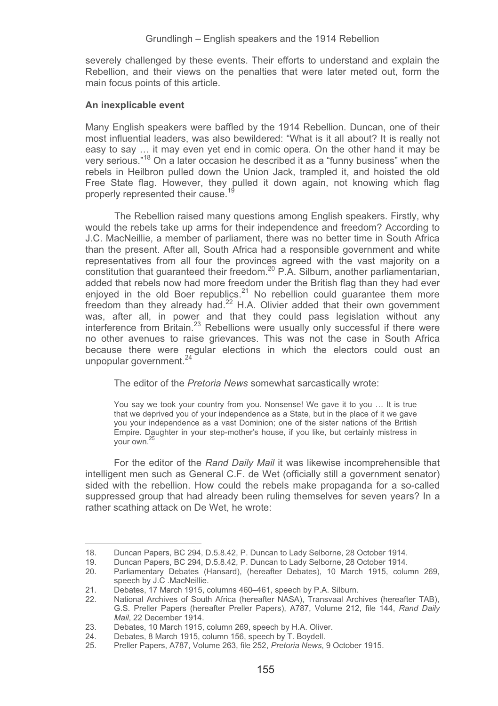severely challenged by these events. Their efforts to understand and explain the Rebellion, and their views on the penalties that were later meted out, form the main focus points of this article.

### **An inexplicable event**

-----------------------------------------------------------

Many English speakers were baffled by the 1914 Rebellion. Duncan, one of their most influential leaders, was also bewildered: "What is it all about? It is really not easy to say ... it may even yet end in comic opera. On the other hand it may be very serious."<sup>18</sup> On a later occasion he described it as a "funny business" when the rebels in Heilbron pulled down the Union Jack, trampled it, and hoisted the old Free State flag. However, they pulled it down again, not knowing which flag properly represented their cause.<sup>19</sup>

The Rebellion raised many questions among English speakers. Firstly, why would the rebels take up arms for their independence and freedom? According to J.C. MacNeillie, a member of parliament, there was no better time in South Africa than the present. After all, South Africa had a responsible government and white representatives from all four the provinces agreed with the vast majority on a constitution that guaranteed their freedom.20 P.A. Silburn, another parliamentarian, added that rebels now had more freedom under the British flag than they had ever enjoyed in the old Boer republics.<sup>21</sup> No rebellion could guarantee them more freedom than they already had.<sup>22</sup> H.A. Olivier added that their own government was, after all, in power and that they could pass legislation without any interference from Britain.<sup>23</sup> Rebellions were usually only successful if there were no other avenues to raise grievances. This was not the case in South Africa because there were regular elections in which the electors could oust an unpopular government. $24$ 

The editor of the *Pretoria News* somewhat sarcastically wrote:

You say we took your country from you. Nonsense! We gave it to you … It is true that we deprived you of your independence as a State, but in the place of it we gave you your independence as a vast Dominion; one of the sister nations of the British Empire. Daughter in your step-mother's house, if you like, but certainly mistress in your own.25

For the editor of the *Rand Daily Mail* it was likewise incomprehensible that intelligent men such as General C.F. de Wet (officially still a government senator) sided with the rebellion. How could the rebels make propaganda for a so-called suppressed group that had already been ruling themselves for seven years? In a rather scathing attack on De Wet, he wrote:

<sup>18.</sup> Duncan Papers, BC 294, D.5.8.42, P. Duncan to Lady Selborne, 28 October 1914.

Duncan Papers, BC 294, D.5.8.42, P. Duncan to Lady Selborne, 28 October 1914.

<sup>20.</sup> Parliamentary Debates (Hansard), (hereafter Debates), 10 March 1915, column 269, speech by J.C .MacNeillie.

<sup>21.</sup> Debates, 17 March 1915, columns 460–461, speech by P.A. Silburn.

<sup>22.</sup> National Archives of South Africa (hereafter NASA), Transvaal Archives (hereafter TAB), G.S. Preller Papers (hereafter Preller Papers), A787, Volume 212, file 144, *Rand Daily Mail*, 22 December 1914.

<sup>23.</sup> Debates, 10 March 1915, column 269, speech by H.A. Oliver.<br>24 Debates. 8 March 1915. column 156, speech by T. Boydell.

<sup>24.</sup> Debates, 8 March 1915, column 156, speech by T. Boydell.<br>25. Preller Papers, A787, Volume 263, file 252, Pretoria News

<sup>25.</sup> Preller Papers, A787, Volume 263, file 252, *Pretoria News*, 9 October 1915.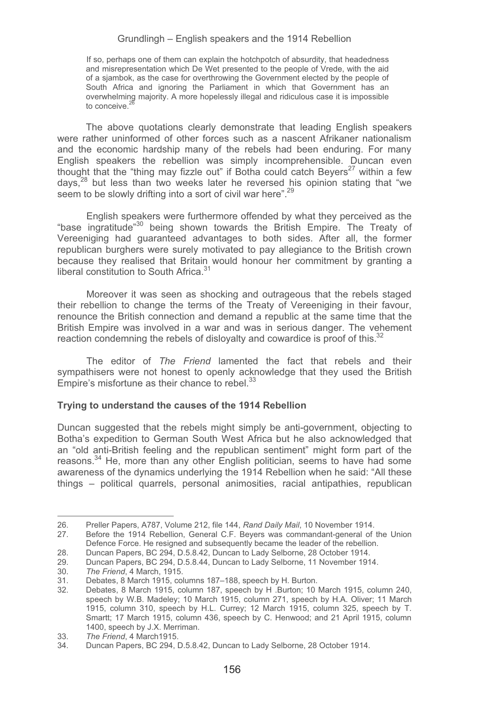If so, perhaps one of them can explain the hotchpotch of absurdity, that headedness and misrepresentation which De Wet presented to the people of Vrede, with the aid of a sjambok, as the case for overthrowing the Government elected by the people of South Africa and ignoring the Parliament in which that Government has an overwhelming majority. A more hopelessly illegal and ridiculous case it is impossible to conceive<sup>2</sup>

The above quotations clearly demonstrate that leading English speakers were rather uninformed of other forces such as a nascent Afrikaner nationalism and the economic hardship many of the rebels had been enduring. For many English speakers the rebellion was simply incomprehensible. Duncan even thought that the "thing may fizzle out" if Botha could catch Bevers<sup>27</sup> within a few days.<sup>28</sup> but less than two weeks later he reversed his opinion stating that "we seem to be slowly drifting into a sort of civil war here".<sup>29</sup>

 English speakers were furthermore offended by what they perceived as the "base ingratitude"<sup>30</sup> being shown towards the British Empire. The Treaty of Vereeniging had guaranteed advantages to both sides. After all, the former republican burghers were surely motivated to pay allegiance to the British crown because they realised that Britain would honour her commitment by granting a liberal constitution to South Africa.<sup>31</sup>

Moreover it was seen as shocking and outrageous that the rebels staged their rebellion to change the terms of the Treaty of Vereeniging in their favour, renounce the British connection and demand a republic at the same time that the British Empire was involved in a war and was in serious danger. The vehement reaction condemning the rebels of disloyalty and cowardice is proof of this.<sup>32</sup>

The editor of *The Friend* lamented the fact that rebels and their sympathisers were not honest to openly acknowledge that they used the British Empire's misfortune as their chance to rebel. $33$ 

### **Trying to understand the causes of the 1914 Rebellion**

Duncan suggested that the rebels might simply be anti-government, objecting to Botha's expedition to German South West Africa but he also acknowledged that an "old anti-British feeling and the republican sentiment" might form part of the reasons.<sup>34</sup> He, more than any other English politician, seems to have had some awareness of the dynamics underlying the 1914 Rebellion when he said: "All these things – political quarrels, personal animosities, racial antipathies, republican

<sup>26.</sup> Preller Papers, A787, Volume 212, file 144, *Rand Daily Mail*, 10 November 1914.

<sup>27.</sup> Before the 1914 Rebellion, General C.F. Beyers was commandant-general of the Union Defence Force. He resigned and subsequently became the leader of the rebellion.

<sup>28.</sup> Duncan Papers, BC 294, D.5.8.42, Duncan to Lady Selborne, 28 October 1914.

<sup>29.</sup> Duncan Papers, BC 294, D.5.8.44, Duncan to Lady Selborne, 11 November 1914.<br>30. The Friend. 4 March. 1915.

<sup>30.</sup> *The Friend*, 4 March, 1915.

<sup>31.</sup> Debates, 8 March 1915, columns 187–188, speech by H. Burton.

Debates, 8 March 1915, column 187, speech by H .Burton; 10 March 1915, column 240, speech by W.B. Madeley; 10 March 1915, column 271, speech by H.A. Oliver; 11 March 1915, column 310, speech by H.L. Currey; 12 March 1915, column 325, speech by T. Smartt; 17 March 1915, column 436, speech by C. Henwood; and 21 April 1915, column 1400, speech by J.X. Merriman.

<sup>33</sup>*. The Friend*, 4 March1915.

<sup>34.</sup> Duncan Papers, BC 294, D.5.8.42, Duncan to Lady Selborne, 28 October 1914.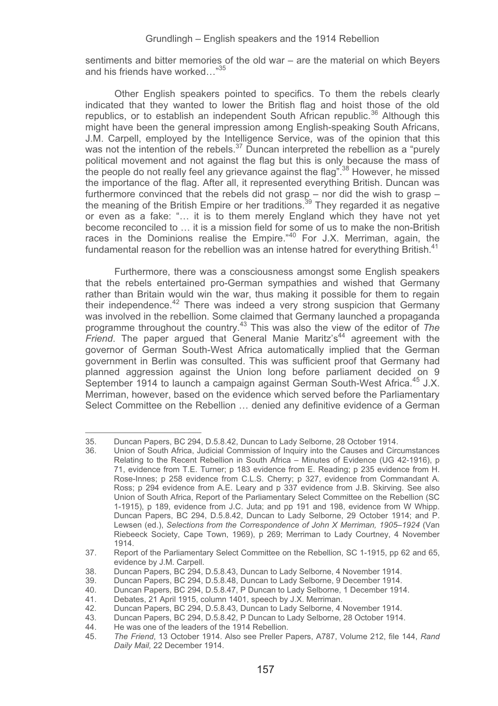sentiments and bitter memories of the old war – are the material on which Beyers and his friends have worked…"35

Other English speakers pointed to specifics. To them the rebels clearly indicated that they wanted to lower the British flag and hoist those of the old republics, or to establish an independent South African republic.<sup>36</sup> Although this might have been the general impression among English-speaking South Africans, J.M. Carpell, employed by the Intelligence Service, was of the opinion that this was not the intention of the rebels.<sup>37</sup> Duncan interpreted the rebellion as a "purely" political movement and not against the flag but this is only because the mass of the people do not really feel any grievance against the flag".<sup>38</sup> However, he missed the importance of the flag. After all, it represented everything British. Duncan was furthermore convinced that the rebels did not grasp – nor did the wish to grasp – the meaning of the British Empire or her traditions.<sup>39</sup> They regarded it as negative or even as a fake: "… it is to them merely England which they have not yet become reconciled to … it is a mission field for some of us to make the non-British races in the Dominions realise the Empire."<sup>40</sup> For J.X. Merriman, again, the fundamental reason for the rebellion was an intense hatred for everything British. $41$ 

Furthermore, there was a consciousness amongst some English speakers that the rebels entertained pro-German sympathies and wished that Germany rather than Britain would win the war, thus making it possible for them to regain their independence.<sup>42</sup> There was indeed a very strong suspicion that Germany was involved in the rebellion. Some claimed that Germany launched a propaganda programme throughout the country.43 This was also the view of the editor of *The Friend*. The paper argued that General Manie Maritz's<sup>44</sup> agreement with the governor of German South-West Africa automatically implied that the German government in Berlin was consulted. This was sufficient proof that Germany had planned aggression against the Union long before parliament decided on 9 September 1914 to launch a campaign against German South-West Africa.<sup>45</sup> J.X. Merriman, however, based on the evidence which served before the Parliamentary Select Committee on the Rebellion … denied any definitive evidence of a German

<sup>35.</sup> Duncan Papers, BC 294, D.5.8.42, Duncan to Lady Selborne, 28 October 1914.

<sup>36.</sup> Union of South Africa, Judicial Commission of Inquiry into the Causes and Circumstances Relating to the Recent Rebellion in South Africa – Minutes of Evidence (UG 42-1916), p 71, evidence from T.E. Turner; p 183 evidence from E. Reading; p 235 evidence from H. Rose-Innes; p 258 evidence from C.L.S. Cherry; p 327, evidence from Commandant A. Ross; p 294 evidence from A.E. Leary and p 337 evidence from J.B. Skirving. See also Union of South Africa, Report of the Parliamentary Select Committee on the Rebellion (SC 1-1915), p 189, evidence from J.C. Juta; and pp 191 and 198, evidence from W Whipp. Duncan Papers, BC 294, D.5.8.42, Duncan to Lady Selborne, 29 October 1914; and P. Lewsen (ed.), *Selections from the Correspondence of John X Merriman, 1905*–*1924* (Van Riebeeck Society, Cape Town, 1969), p 269; Merriman to Lady Courtney, 4 November 1914.

<sup>37.</sup> Report of the Parliamentary Select Committee on the Rebellion, SC 1-1915, pp 62 and 65, evidence by J.M. Carpell.

<sup>38.</sup> Duncan Papers, BC 294, D.5.8.43, Duncan to Lady Selborne, 4 November 1914.

<sup>39.</sup> Duncan Papers, BC 294, D.5.8.48, Duncan to Lady Selborne, 9 December 1914.

<sup>40.</sup> Duncan Papers, BC 294, D.5.8.47, P Duncan to Lady Selborne, 1 December 1914.<br>41. Debates. 21 April 1915, column 1401, speech by J.X. Merriman.

<sup>41.</sup> Debates, 21 April 1915, column 1401, speech by J.X. Merriman.

<sup>42.</sup> Duncan Papers, BC 294, D.5.8.43, Duncan to Lady Selborne, 4 November 1914.

<sup>43.</sup> Duncan Papers, BC 294, D.5.8.42, P Duncan to Lady Selborne, 28 October 1914.<br>44. He was one of the leaders of the 1914 Rebellion.

<sup>44.</sup> He was one of the leaders of the 1914 Rebellion.<br>45. The Friend. 13 October 1914. Also see Preller F

<sup>45.</sup> *The Friend*, 13 October 1914. Also see Preller Papers, A787, Volume 212, file 144, *Rand Daily Mail,* 22 December 1914.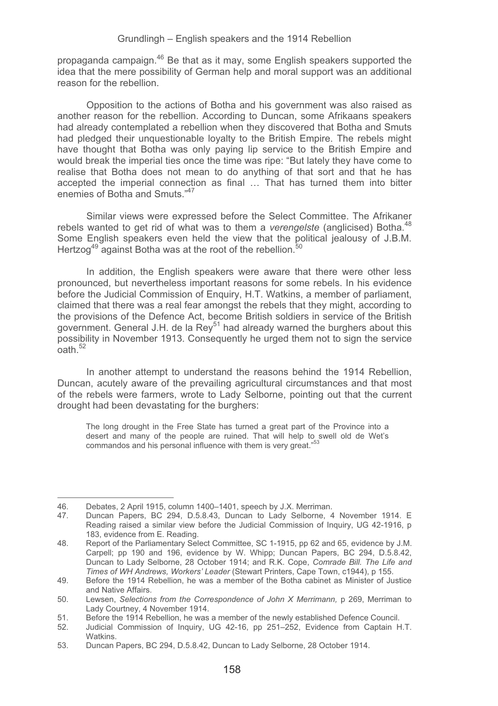propaganda campaign.<sup>46</sup> Be that as it may, some English speakers supported the idea that the mere possibility of German help and moral support was an additional reason for the rebellion.

Opposition to the actions of Botha and his government was also raised as another reason for the rebellion. According to Duncan, some Afrikaans speakers had already contemplated a rebellion when they discovered that Botha and Smuts had pledged their unquestionable loyalty to the British Empire. The rebels might have thought that Botha was only paying lip service to the British Empire and would break the imperial ties once the time was ripe: "But lately they have come to realise that Botha does not mean to do anything of that sort and that he has accepted the imperial connection as final … That has turned them into bitter enemies of Botha and Smuts."47

Similar views were expressed before the Select Committee. The Afrikaner rebels wanted to get rid of what was to them a *verengelste* (anglicised) Botha.<sup>48</sup> Some English speakers even held the view that the political jealousy of J.B.M. Hertzog<sup>49</sup> against Botha was at the root of the rebellion.<sup>50</sup>

In addition, the English speakers were aware that there were other less pronounced, but nevertheless important reasons for some rebels. In his evidence before the Judicial Commission of Enquiry, H.T. Watkins, a member of parliament, claimed that there was a real fear amongst the rebels that they might, according to the provisions of the Defence Act, become British soldiers in service of the British government. General J.H. de la Rey<sup>51</sup> had already warned the burghers about this possibility in November 1913. Consequently he urged them not to sign the service  $n$ ath<sup>52</sup>

In another attempt to understand the reasons behind the 1914 Rebellion, Duncan, acutely aware of the prevailing agricultural circumstances and that most of the rebels were farmers, wrote to Lady Selborne, pointing out that the current drought had been devastating for the burghers:

The long drought in the Free State has turned a great part of the Province into a desert and many of the people are ruined. That will help to swell old de Wet's commandos and his personal influence with them is very great."

<sup>46.</sup> Debates, 2 April 1915, column 1400–1401, speech by J.X. Merriman.<br>47 Duncan Papers, BC 294, D.5.8.43. Duncan to Lady Selborne, 4

<sup>47.</sup> Duncan Papers, BC 294, D.5.8.43, Duncan to Lady Selborne, 4 November 1914. E Reading raised a similar view before the Judicial Commission of Inquiry, UG 42-1916, p 183, evidence from E. Reading.

<sup>48.</sup> Report of the Parliamentary Select Committee, SC 1-1915, pp 62 and 65, evidence by J.M. Carpell; pp 190 and 196, evidence by W. Whipp; Duncan Papers, BC 294, D.5.8.42, Duncan to Lady Selborne, 28 October 1914; and R.K. Cope, *Comrade Bill. The Life and Times of WH Andrews, Workers' Leader* (Stewart Printers, Cape Town, c1944), p 155.

<sup>49.</sup> Before the 1914 Rebellion, he was a member of the Botha cabinet as Minister of Justice and Native Affairs.

<sup>50.</sup> Lewsen, *Selections from the Correspondence of John X Merrimann,* p 269, Merriman to Lady Courtney, 4 November 1914.

<sup>51.</sup> Before the 1914 Rebellion, he was a member of the newly established Defence Council.<br>52. Indicial Commission of Inquiry JJG 42-16, np. 251–252. Evidence from Cantain H

<sup>52.</sup> Judicial Commission of Inquiry, UG 42-16, pp 251–252, Evidence from Captain H.T. Watkins.

<sup>53.</sup> Duncan Papers, BC 294, D.5.8.42, Duncan to Lady Selborne, 28 October 1914.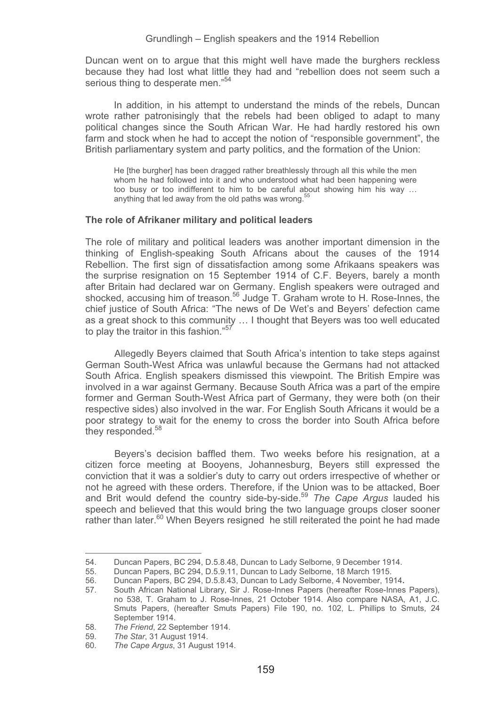Duncan went on to argue that this might well have made the burghers reckless because they had lost what little they had and "rebellion does not seem such a serious thing to desperate men."<sup>54</sup>

In addition, in his attempt to understand the minds of the rebels, Duncan wrote rather patronisingly that the rebels had been obliged to adapt to many political changes since the South African War. He had hardly restored his own farm and stock when he had to accept the notion of "responsible government", the British parliamentary system and party politics, and the formation of the Union:

He [the burgher] has been dragged rather breathlessly through all this while the men whom he had followed into it and who understood what had been happening were too busy or too indifferent to him to be careful about showing him his way … anything that led away from the old paths was wrong.<sup>5</sup>

#### **The role of Afrikaner military and political leaders**

The role of military and political leaders was another important dimension in the thinking of English-speaking South Africans about the causes of the 1914 Rebellion. The first sign of dissatisfaction among some Afrikaans speakers was the surprise resignation on 15 September 1914 of C.F. Beyers, barely a month after Britain had declared war on Germany. English speakers were outraged and shocked, accusing him of treason.<sup>56</sup> Judge T. Graham wrote to H. Rose-Innes, the chief justice of South Africa: "The news of De Wet's and Beyers' defection came as a great shock to this community … I thought that Beyers was too well educated to play the traitor in this fashion."<sup>57</sup>

Allegedly Beyers claimed that South Africa's intention to take steps against German South-West Africa was unlawful because the Germans had not attacked South Africa. English speakers dismissed this viewpoint. The British Empire was involved in a war against Germany. Because South Africa was a part of the empire former and German South-West Africa part of Germany, they were both (on their respective sides) also involved in the war. For English South Africans it would be a poor strategy to wait for the enemy to cross the border into South Africa before they responded.<sup>58</sup>

Beyers's decision baffled them. Two weeks before his resignation, at a citizen force meeting at Booyens, Johannesburg, Beyers still expressed the conviction that it was a soldier's duty to carry out orders irrespective of whether or not he agreed with these orders. Therefore, if the Union was to be attacked, Boer and Brit would defend the country side-by-side.59 *The Cape Argus* lauded his speech and believed that this would bring the two language groups closer sooner rather than later.<sup>60</sup> When Beyers resigned he still reiterated the point he had made

<sup>54.</sup> Duncan Papers, BC 294, D.5.8.48, Duncan to Lady Selborne, 9 December 1914.

<sup>55.</sup> Duncan Papers, BC 294, D.5.9.11, Duncan to Lady Selborne, 18 March 1915.

<sup>56.</sup> Duncan Papers, BC 294, D.5.8.43, Duncan to Lady Selborne, 4 November, 1914**.**

<sup>57.</sup> South African National Library, Sir J. Rose-Innes Papers (hereafter Rose-Innes Papers), no 538, T. Graham to J. Rose-Innes, 21 October 1914. Also compare NASA, A1, J.C. Smuts Papers, (hereafter Smuts Papers) File 190, no. 102, L. Phillips to Smuts, 24 September 1914.

<sup>58</sup>*. The Friend*, 22 September 1914.

<sup>59</sup>*. The Star*, 31 August 1914.

<sup>60</sup>*. The Cape Argus*, 31 August 1914.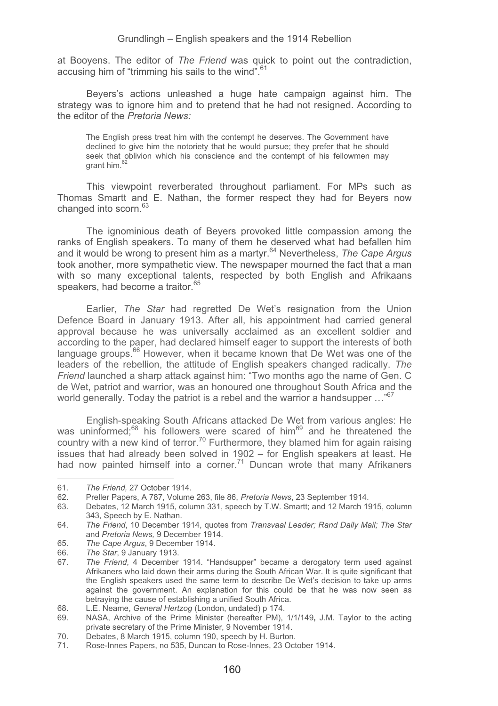at Booyens. The editor of *The Friend* was quick to point out the contradiction, accusing him of "trimming his sails to the wind"<sup>61</sup>

Beyers's actions unleashed a huge hate campaign against him. The strategy was to ignore him and to pretend that he had not resigned. According to the editor of the *Pretoria News:*

The English press treat him with the contempt he deserves. The Government have declined to give him the notoriety that he would pursue; they prefer that he should seek that oblivion which his conscience and the contempt of his fellowmen may grant him.

This viewpoint reverberated throughout parliament. For MPs such as Thomas Smartt and E. Nathan, the former respect they had for Beyers now changed into scorn.<sup>63</sup>

The ignominious death of Beyers provoked little compassion among the ranks of English speakers. To many of them he deserved what had befallen him and it would be wrong to present him as a martyr.<sup>64</sup> Nevertheless, *The Cape Argus* took another, more sympathetic view. The newspaper mourned the fact that a man with so many exceptional talents, respected by both English and Afrikaans speakers, had become a traitor.  $65$ 

Earlier, *The Star* had regretted De Wet's resignation from the Union Defence Board in January 1913. After all, his appointment had carried general approval because he was universally acclaimed as an excellent soldier and according to the paper, had declared himself eager to support the interests of both language groups.<sup>66</sup> However, when it became known that De Wet was one of the leaders of the rebellion, the attitude of English speakers changed radically. *The Friend* launched a sharp attack against him: "Two months ago the name of Gen. C de Wet, patriot and warrior, was an honoured one throughout South Africa and the world generally. Today the patriot is a rebel and the warrior a handsupper  $\cdots$ <sup>67</sup>

English-speaking South Africans attacked De Wet from various angles: He was uninformed;<sup>68</sup> his followers were scared of him<sup>69</sup> and he threatened the country with a new kind of terror.<sup>70</sup> Furthermore, they blamed him for again raising issues that had already been solved in 1902 – for English speakers at least. He had now painted himself into a corner.<sup>71</sup> Duncan wrote that many Afrikaners

--------------------

-----------------------------

65*. The Cape Argus*, 9 December 1914.

<sup>-</sup>---------61*. The Friend,* 27 October 1914.

<sup>62.</sup> Preller Papers, A 787, Volume 263, file 86, *Pretoria News*, 23 September 1914.

<sup>63.</sup> Debates, 12 March 1915, column 331, speech by T.W. Smartt; and 12 March 1915, column 343, Speech by E. Nathan.

<sup>64</sup>*. The Friend*, 10 December 1914, quotes from *Transvaal Leader; Rand Daily Mail; The Star*  and *Pretoria News,* 9 December 1914.

<sup>66</sup>*. The Star*, 9 January 1913.

<sup>67</sup>*. The Friend*, 4 December 1914. "Handsupper" became a derogatory term used against Afrikaners who laid down their arms during the South African War. It is quite significant that the English speakers used the same term to describe De Wet's decision to take up arms against the government. An explanation for this could be that he was now seen as betraying the cause of establishing a unified South Africa.

<sup>68.</sup> L.E. Neame, *General Hertzog* (London, undated) p 174.

<sup>69.</sup> NASA, Archive of the Prime Minister (hereafter PM), 1/1/149**,** J.M. Taylor to the acting private secretary of the Prime Minister, 9 November 1914.

<sup>70.</sup> Debates, 8 March 1915, column 190, speech by H. Burton.

<sup>71.</sup> Rose-Innes Papers, no 535, Duncan to Rose-Innes, 23 October 1914.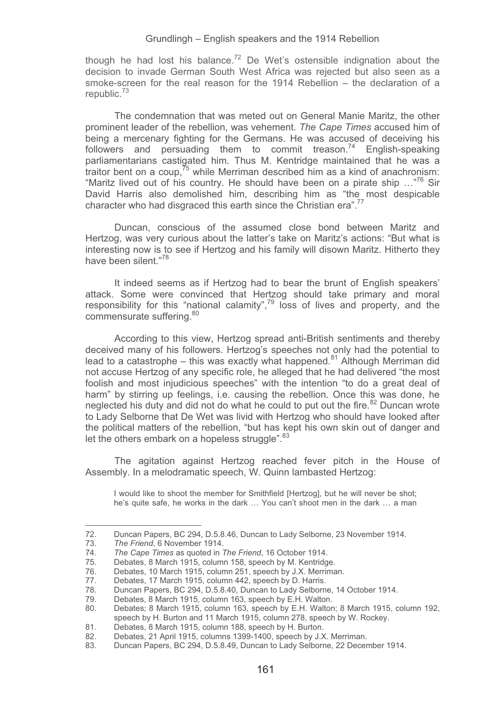though he had lost his balance.<sup>72</sup> De Wet's ostensible indignation about the decision to invade German South West Africa was rejected but also seen as a smoke-screen for the real reason for the 1914 Rebellion – the declaration of a republic.<sup>73</sup>

The condemnation that was meted out on General Manie Maritz, the other prominent leader of the rebellion, was vehement. *The Cape Times* accused him of being a mercenary fighting for the Germans. He was accused of deceiving his followers and persuading them to commit treason.<sup>74</sup> English-speaking parliamentarians castigated him. Thus M. Kentridge maintained that he was a traitor bent on a coup,  $\frac{75}{10}$  while Merriman described him as a kind of anachronism: "Maritz lived out of his country. He should have been on a pirate ship …"76 Sir David Harris also demolished him, describing him as "the most despicable character who had disgraced this earth since the Christian era".<sup>77</sup>

Duncan, conscious of the assumed close bond between Maritz and Hertzog, was very curious about the latter's take on Maritz's actions: "But what is interesting now is to see if Hertzog and his family will disown Maritz. Hitherto they have been silent."<sup>78</sup>

It indeed seems as if Hertzog had to bear the brunt of English speakers' attack. Some were convinced that Hertzog should take primary and moral responsibility for this "national calamity",79 loss of lives and property, and the commensurate suffering.<sup>80</sup>

According to this view, Hertzog spread anti-British sentiments and thereby deceived many of his followers. Hertzog's speeches not only had the potential to lead to a catastrophe – this was exactly what happened.<sup>81</sup> Although Merriman did not accuse Hertzog of any specific role, he alleged that he had delivered "the most foolish and most injudicious speeches" with the intention "to do a great deal of harm" by stirring up feelings, i.e. causing the rebellion. Once this was done, he neglected his duty and did not do what he could to put out the fire.<sup>82</sup> Duncan wrote to Lady Selborne that De Wet was livid with Hertzog who should have looked after the political matters of the rebellion, "but has kept his own skin out of danger and let the others embark on a hopeless struggle". 83

The agitation against Hertzog reached fever pitch in the House of Assembly. In a melodramatic speech, W. Quinn lambasted Hertzog:

I would like to shoot the member for Smithfield [Hertzog], but he will never be shot; he's quite safe, he works in the dark … You can't shoot men in the dark … a man

---------------------

---------------------------------

<sup>72.</sup> Duncan Papers, BC 294, D.5.8.46, Duncan to Lady Selborne, 23 November 1914.<br>73. The Friend. 6 November 1914.

<sup>-</sup>----73*. The Friend*, 6 November 1914.

<sup>74</sup>*. The Cape Times* as quoted in *The Friend*, 16 October 1914.

Debates. 8 March 1915, column 158, speech by M. Kentridge.

<sup>76.</sup> Debates, 10 March 1915, column 251, speech by J.X. Merriman.

<sup>77.</sup> Debates, 17 March 1915, column 442, speech by D. Harris.

<sup>78.</sup> Duncan Papers, BC 294, D.5.8.40, Duncan to Lady Selborne, 14 October 1914.

<sup>79.</sup> Debates, 8 March 1915, column 163, speech by E.H. Walton. Debates; 8 March 1915, column 163, speech by E.H. Walton; 8 March 1915, column 192, speech by H. Burton and 11 March 1915, column 278, speech by W. Rockey.

<sup>81.</sup> Debates, 8 March 1915, column 188, speech by H. Burton.<br>82 Debates, 21 April 1915, columns 1399-1400, speech by J.X

<sup>82.</sup> Debates, 21 April 1915, columns 1399-1400, speech by J.X. Merriman.

<sup>83.</sup> Duncan Papers, BC 294, D.5.8.49, Duncan to Lady Selborne, 22 December 1914.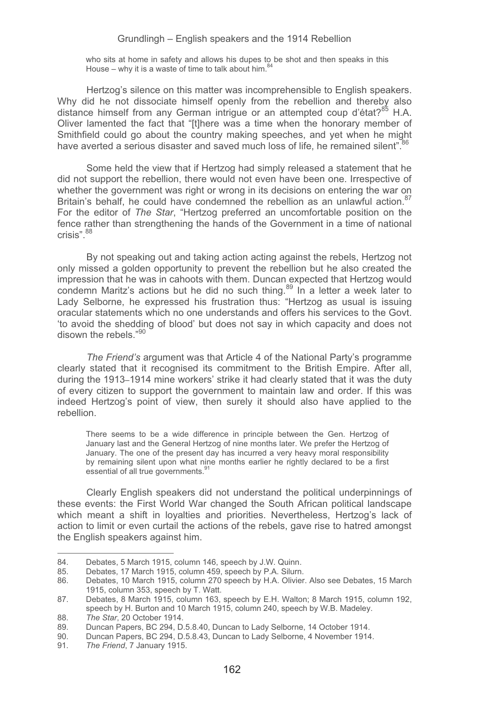who sits at home in safety and allows his dupes to be shot and then speaks in this House – why it is a waste of time to talk about him. $84$ 

Hertzog's silence on this matter was incomprehensible to English speakers. Why did he not dissociate himself openly from the rebellion and thereby also distance himself from any German intrigue or an attempted coup d'état?<sup>85</sup> H.A. Oliver lamented the fact that "[t]here was a time when the honorary member of Smithfield could go about the country making speeches, and yet when he might have averted a serious disaster and saved much loss of life, he remained silent".<sup>86</sup>

Some held the view that if Hertzog had simply released a statement that he did not support the rebellion, there would not even have been one. Irrespective of whether the government was right or wrong in its decisions on entering the war on Britain's behalf, he could have condemned the rebellion as an unlawful action.<sup>87</sup> For the editor of *The Star*, "Hertzog preferred an uncomfortable position on the fence rather than strengthening the hands of the Government in a time of national crisis".<sup>88</sup>

By not speaking out and taking action acting against the rebels, Hertzog not only missed a golden opportunity to prevent the rebellion but he also created the impression that he was in cahoots with them. Duncan expected that Hertzog would condemn Maritz's actions but he did no such thing.<sup>89</sup> In a letter a week later to Lady Selborne, he expressed his frustration thus: "Hertzog as usual is issuing oracular statements which no one understands and offers his services to the Govt. 'to avoid the shedding of blood' but does not say in which capacity and does not disown the rebels."90

*The Friend's* argument was that Article 4 of the National Party's programme clearly stated that it recognised its commitment to the British Empire. After all, during the 1913–1914 mine workers' strike it had clearly stated that it was the duty of every citizen to support the government to maintain law and order. If this was indeed Hertzog's point of view, then surely it should also have applied to the rebellion.

There seems to be a wide difference in principle between the Gen. Hertzog of January last and the General Hertzog of nine months later. We prefer the Hertzog of January. The one of the present day has incurred a very heavy moral responsibility by remaining silent upon what nine months earlier he rightly declared to be a first essential of all true governments.<sup>91</sup>

Clearly English speakers did not understand the political underpinnings of these events: the First World War changed the South African political landscape which meant a shift in loyalties and priorities. Nevertheless, Hertzog's lack of action to limit or even curtail the actions of the rebels, gave rise to hatred amongst the English speakers against him.

<sup>-</sup>-84. Debates, 5 March 1915, column 146, speech by J.W. Quinn.<br>85. Debates, 17 March 1915, column 459, speech by P.A. Silum.

<sup>85.</sup> Debates, 17 March 1915, column 459, speech by P.A. Silurn.<br>86. Debates, 10 March 1915, column 270 speech by H.A. Olivier

<sup>86.</sup> Debates, 10 March 1915, column 270 speech by H.A. Olivier. Also see Debates, 15 March 1915, column 353, speech by T. Watt.

<sup>87.</sup> Debates, 8 March 1915, column 163, speech by E.H. Walton; 8 March 1915, column 192, speech by H. Burton and 10 March 1915, column 240, speech by W.B. Madeley.

<sup>88</sup>*. The Star*, 20 October 1914.

<sup>89.</sup> Duncan Papers, BC 294, D.5.8.40, Duncan to Lady Selborne, 14 October 1914.

<sup>90.</sup> Duncan Papers, BC 294, D.5.8.43, Duncan to Lady Selborne, 4 November 1914.<br>91 The Friend 7 January 1915

<sup>91</sup>*. The Friend*, 7 January 1915.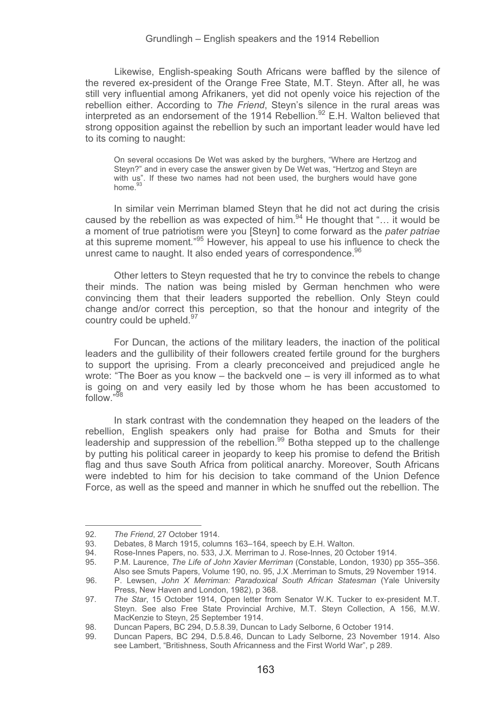Likewise, English-speaking South Africans were baffled by the silence of the revered ex-president of the Orange Free State, M.T. Steyn. After all, he was still very influential among Afrikaners, yet did not openly voice his rejection of the rebellion either. According to *The Friend*, Steyn's silence in the rural areas was interpreted as an endorsement of the 1914 Rebellion.<sup>92</sup> E.H. Walton believed that strong opposition against the rebellion by such an important leader would have led to its coming to naught:

On several occasions De Wet was asked by the burghers, "Where are Hertzog and Steyn?" and in every case the answer given by De Wet was, "Hertzog and Steyn are with us". If these two names had not been used, the burghers would have gone home.<sup>93</sup>

In similar vein Merriman blamed Steyn that he did not act during the crisis caused by the rebellion as was expected of him.<sup>94</sup> He thought that "... it would be a moment of true patriotism were you [Steyn] to come forward as the *pater patriae*  at this supreme moment*.*" 95 However, his appeal to use his influence to check the unrest came to naught. It also ended years of correspondence.<sup>96</sup>

Other letters to Steyn requested that he try to convince the rebels to change their minds. The nation was being misled by German henchmen who were convincing them that their leaders supported the rebellion. Only Steyn could change and/or correct this perception, so that the honour and integrity of the country could be upheld.<sup>97</sup>

For Duncan, the actions of the military leaders, the inaction of the political leaders and the gullibility of their followers created fertile ground for the burghers to support the uprising. From a clearly preconceived and prejudiced angle he wrote: "The Boer as you know – the backveld one – is very ill informed as to what is going on and very easily led by those whom he has been accustomed to follow."<sup>98</sup>

In stark contrast with the condemnation they heaped on the leaders of the rebellion, English speakers only had praise for Botha and Smuts for their leadership and suppression of the rebellion.<sup>99</sup> Botha stepped up to the challenge by putting his political career in jeopardy to keep his promise to defend the British flag and thus save South Africa from political anarchy. Moreover, South Africans were indebted to him for his decision to take command of the Union Defence Force, as well as the speed and manner in which he snuffed out the rebellion. The

--------------------

------------------------------

<sup>-</sup>--------92*. The Friend*, 27 October 1914.

<sup>93.</sup> Debates, 8 March 1915, columns 163–164, speech by E.H. Walton.<br>94. Rose-Innes Papers. no. 533. J.X. Merriman to J. Rose-Innes. 20 Oc

<sup>94.</sup> Rose-Innes Papers, no. 533, J.X. Merriman to J. Rose-Innes, 20 October 1914.<br>95. P.M. Laurence, *The Life of John Xavier Merriman (Constable London 1930)* n

<sup>95.</sup> P.M. Laurence, *The Life of John Xavier Merriman* (Constable, London, 1930) pp 355–356. Also see Smuts Papers, Volume 190, no. 95, J.X .Merriman to Smuts, 29 November 1914.

<sup>96.</sup> P. Lewsen, *John X Merriman: Paradoxical South African Statesman* (Yale University Press, New Haven and London, 1982), p 368.

<sup>97</sup>*. The Star*, 15 October 1914, Open letter from Senator W.K. Tucker to ex-president M.T. Steyn. See also Free State Provincial Archive, M.T. Steyn Collection, A 156, M.W. MacKenzie to Steyn, 25 September 1914.

<sup>98.</sup> Duncan Papers, BC 294, D.5.8.39, Duncan to Lady Selborne, 6 October 1914.

Duncan Papers, BC 294, D.5.8.46, Duncan to Lady Selborne, 23 November 1914. Also see Lambert, "Britishness, South Africanness and the First World War", p 289.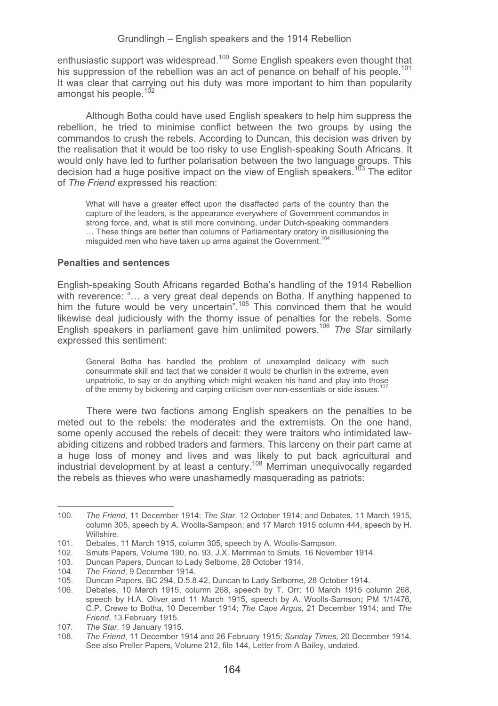enthusiastic support was widespread.<sup>100</sup> Some English speakers even thought that his suppression of the rebellion was an act of penance on behalf of his people.<sup>101</sup> It was clear that carrying out his duty was more important to him than popularity amongst his people. $10^{2}$ 

Although Botha could have used English speakers to help him suppress the rebellion, he tried to minimise conflict between the two groups by using the commandos to crush the rebels. According to Duncan, this decision was driven by the realisation that it would be too risky to use English-speaking South Africans. It would only have led to further polarisation between the two language groups. This decision had a huge positive impact on the view of English speakers.<sup>103</sup> The editor of *The Friend* expressed his reaction:

What will have a greater effect upon the disaffected parts of the country than the capture of the leaders, is the appearance everywhere of Government commandos in strong force, and, what is still more convincing, under Dutch-speaking commanders … These things are better than columns of Parliamentary oratory in disillusioning the misguided men who have taken up arms against the Government.<sup>10</sup>

### **Penalties and sentences**

English-speaking South Africans regarded Botha's handling of the 1914 Rebellion with reverence: "… a very great deal depends on Botha. If anything happened to him the future would be very uncertain".<sup>105</sup> This convinced them that he would he would likewise deal judiciously with the thorny issue of penalties for the rebels. Some English speakers in parliament gave him unlimited powers.106 *The Star* similarly expressed this sentiment:

General Botha has handled the problem of unexampled delicacy with such consummate skill and tact that we consider it would be churlish in the extreme, even unpatriotic, to say or do anything which might weaken his hand and play into those of the enemy by bickering and carping criticism over non-essentials or side issues.<sup>107</sup>

There were two factions among English speakers on the penalties to be meted out to the rebels: the moderates and the extremists. On the one hand, some openly accused the rebels of deceit: they were traitors who intimidated lawabiding citizens and robbed traders and farmers. This larceny on their part came at a huge loss of money and lives and was likely to put back agricultural and industrial development by at least a century.108 Merriman unequivocally regarded the rebels as thieves who were unashamedly masquerading as patriots:

<sup>100</sup>*. The Friend*, 11 December 1914; *The Star*, 12 October 1914; and Debates, 11 March 1915, column 305, speech by A. Woolls-Sampson; and 17 March 1915 column 444, speech by H. Wiltshire.

<sup>101.</sup> Debates, 11 March 1915, column 305, speech by A. Woolls-Sampson.

<sup>102.</sup> Smuts Papers, Volume 190, no. 93, J.X. Merriman to Smuts, 16 November 1914.

Duncan Papers, Duncan to Lady Selborne, 28 October 1914.

<sup>104</sup>*. The Friend*, 9 December 1914.

<sup>105.</sup> Duncan Papers, BC 294, D.5.8.42, Duncan to Lady Selborne, 28 October 1914.

<sup>106.</sup> Debates, 10 March 1915, column 268, speech by T. Orr; 10 March 1915 column 268, speech by H.A. Oliver and 11 March 1915, speech by A. Woolls-Samson**;** PM 1/1/476, C.P. Crewe to Botha, 10 December 1914; *The Cape Argus*, 21 December 1914; and *The Friend*, 13 February 1915.

<sup>107</sup>*. The Star*, 19 January 1915.

<sup>108</sup>*. The Friend*, 11 December 1914 and 26 February 1915; *Sunday Times*, 20 December 1914. See also Preller Papers, Volume 212, file 144, Letter from A Bailey, undated.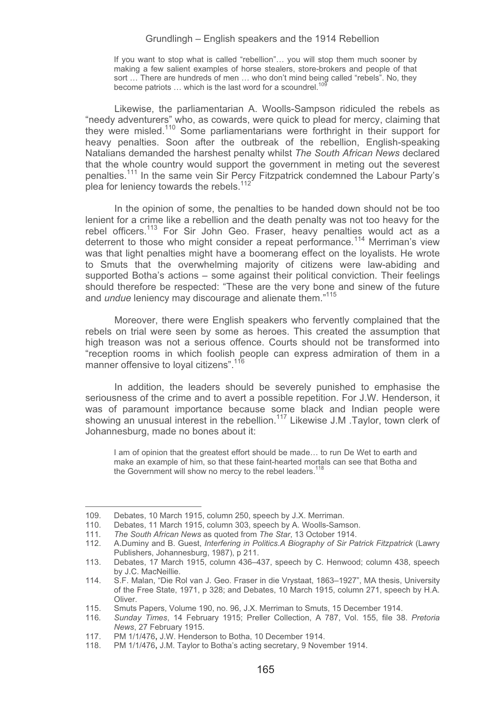If you want to stop what is called "rebellion"… you will stop them much sooner by making a few salient examples of horse stealers, store-brokers and people of that sort … There are hundreds of men … who don't mind being called "rebels". No, they become patriots — which is the last word for a scoundrel.<sup>10</sup>

Likewise, the parliamentarian A. Woolls-Sampson ridiculed the rebels as "needy adventurers" who, as cowards, were quick to plead for mercy, claiming that they were misled.<sup>110</sup> Some parliamentarians were forthright in their support for heavy penalties. Soon after the outbreak of the rebellion, English-speaking Natalians demanded the harshest penalty whilst *The South African News* declared that the whole country would support the government in meting out the severest penalties.111 In the same vein Sir Percy Fitzpatrick condemned the Labour Party's plea for leniency towards the rebels.<sup>112</sup>

In the opinion of some, the penalties to be handed down should not be too lenient for a crime like a rebellion and the death penalty was not too heavy for the rebel officers.<sup>113</sup> For Sir John Geo. Fraser, heavy penalties would act as a deterrent to those who might consider a repeat performance.<sup>114</sup> Merriman's view was that light penalties might have a boomerang effect on the loyalists. He wrote to Smuts that the overwhelming majority of citizens were law-abiding and supported Botha's actions – some against their political conviction. Their feelings should therefore be respected: "These are the very bone and sinew of the future and *undue* leniency may discourage and alienate them."115

Moreover, there were English speakers who fervently complained that the rebels on trial were seen by some as heroes. This created the assumption that high treason was not a serious offence. Courts should not be transformed into "reception rooms in which foolish people can express admiration of them in a manner offensive to loyal citizens".<sup>116</sup>

In addition, the leaders should be severely punished to emphasise the seriousness of the crime and to avert a possible repetition. For J.W. Henderson, it was of paramount importance because some black and Indian people were showing an unusual interest in the rebellion.<sup>117</sup> Likewise J.M .Taylor, town clerk of Johannesburg, made no bones about it:

I am of opinion that the greatest effort should be made… to run De Wet to earth and make an example of him, so that these faint-hearted mortals can see that Botha and the Government will show no mercy to the rebel leaders.<sup>11</sup>

<sup>109.</sup> Debates, 10 March 1915, column 250, speech by J.X. Merriman.

<sup>110.</sup> Debates, 11 March 1915, column 303, speech by A. Woolls-Samson.<br>111. The South African News as quoted from The Star. 13 October 1914.

<sup>111</sup>*. The South African News* as quoted from *The Star*, 13 October 1914.

<sup>112.</sup> A.Duminy and B. Guest, *Interfering in Politics.A Biography of Sir Patrick Fitzpatrick* (Lawry Publishers, Johannesburg, 1987), p 211.

<sup>113.</sup> Debates, 17 March 1915, column 436–437, speech by C. Henwood; column 438, speech by J.C. MacNeillie.

<sup>114.</sup> S.F. Malan, "Die Rol van J. Geo. Fraser in die Vrystaat, 1863–1927", MA thesis, University of the Free State, 1971, p 328; and Debates, 10 March 1915, column 271, speech by H.A. Oliver.

<sup>115.</sup> Smuts Papers, Volume 190, no. 96, J.X. Merriman to Smuts, 15 December 1914.

<sup>116</sup>*. Sunday Times*, 14 February 1915; Preller Collection, A 787, Vol. 155, file 38. *Pretoria News*, 27 February 1915.

<sup>117.</sup> PM 1/1/476**,** J.W. Henderson to Botha, 10 December 1914.

<sup>118.</sup> PM 1/1/476**,** J.M. Taylor to Botha's acting secretary, 9 November 1914.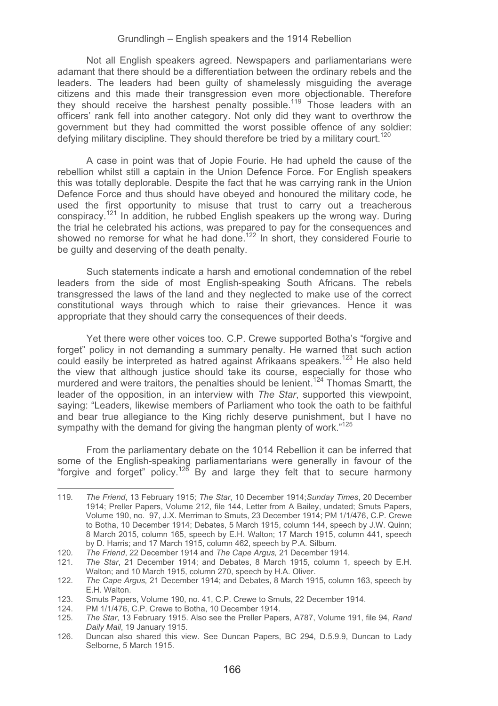Not all English speakers agreed. Newspapers and parliamentarians were adamant that there should be a differentiation between the ordinary rebels and the leaders. The leaders had been guilty of shamelessly misguiding the average citizens and this made their transgression even more objectionable. Therefore they should receive the harshest penalty possible.<sup>119</sup> Those leaders with an officers' rank fell into another category. Not only did they want to overthrow the government but they had committed the worst possible offence of any soldier: defying military discipline. They should therefore be tried by a military court.<sup>120</sup>

A case in point was that of Jopie Fourie. He had upheld the cause of the rebellion whilst still a captain in the Union Defence Force. For English speakers this was totally deplorable. Despite the fact that he was carrying rank in the Union Defence Force and thus should have obeyed and honoured the military code, he used the first opportunity to misuse that trust to carry out a treacherous conspiracy.121 In addition, he rubbed English speakers up the wrong way. During the trial he celebrated his actions, was prepared to pay for the consequences and showed no remorse for what he had done.<sup>122</sup> In short, they considered Fourie to be guilty and deserving of the death penalty.

Such statements indicate a harsh and emotional condemnation of the rebel leaders from the side of most English-speaking South Africans. The rebels transgressed the laws of the land and they neglected to make use of the correct constitutional ways through which to raise their grievances. Hence it was appropriate that they should carry the consequences of their deeds.

Yet there were other voices too. C.P. Crewe supported Botha's "forgive and forget" policy in not demanding a summary penalty. He warned that such action could easily be interpreted as hatred against Afrikaans speakers.<sup>123</sup> He also held the view that although justice should take its course, especially for those who murdered and were traitors, the penalties should be lenient.<sup>124</sup> Thomas Smartt, the leader of the opposition, in an interview with *The Star*, supported this viewpoint, saying: "Leaders, likewise members of Parliament who took the oath to be faithful and bear true allegiance to the King richly deserve punishment, but I have no sympathy with the demand for giving the hangman plenty of work."<sup>125</sup>

From the parliamentary debate on the 1014 Rebellion it can be inferred that some of the English-speaking parliamentarians were generally in favour of the<br>"forgive and forget" policy.<sup>126</sup> By and large they felt that to secure harmony

<sup>119</sup>*. The Friend*, 13 February 1915; *The Star*, 10 December 1914;*Sunday Times*, 20 December 1914; Preller Papers, Volume 212, file 144, Letter from A Bailey, undated; Smuts Papers, Volume 190, no. 97, J.X. Merriman to Smuts, 23 December 1914; PM 1/1/476, C.P. Crewe to Botha, 10 December 1914; Debates, 5 March 1915, column 144, speech by J.W. Quinn; 8 March 2015, column 165, speech by E.H. Walton; 17 March 1915, column 441, speech by D. Harris; and 17 March 1915, column 462, speech by P.A. Silburn.

<sup>120</sup>*. The Friend*, 22 December 1914 and *The Cape Argus,* 21 December 1914.

<sup>121</sup>*. The Star*, 21 December 1914; and Debates, 8 March 1915, column 1, speech by E.H. Walton; and 10 March 1915, column 270, speech by H.A. Oliver.

<sup>122</sup>*. The Cape Argus,* 21 December 1914; and Debates, 8 March 1915, column 163, speech by E.H. Walton.

<sup>123.</sup> Smuts Papers, Volume 190, no. 41, C.P. Crewe to Smuts, 22 December 1914.

<sup>124.</sup> PM 1/1/476, C.P. Crewe to Botha, 10 December 1914.

<sup>125</sup>*. The Star*, 13 February 1915. Also see the Preller Papers, A787, Volume 191, file 94, *Rand Daily Mail*, 19 January 1915.

<sup>126.</sup> Duncan also shared this view. See Duncan Papers, BC 294, D.5.9.9, Duncan to Lady Selborne, 5 March 1915.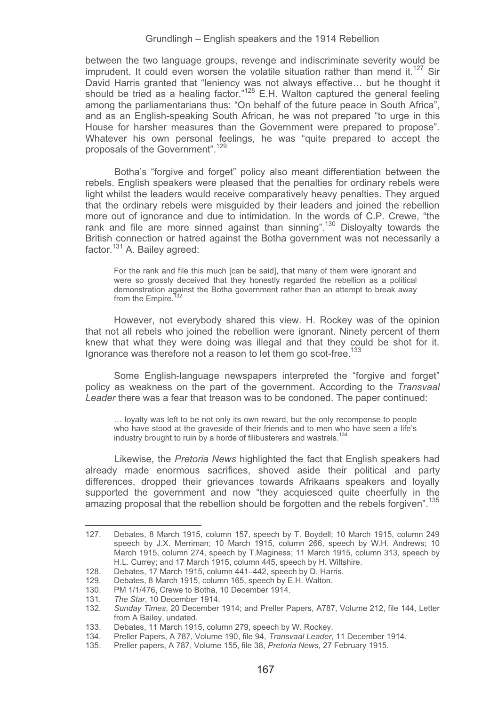between the two language groups, revenge and indiscriminate severity would be imprudent. It could even worsen the volatile situation rather than mend it.<sup>127</sup> Sir David Harris granted that "leniency was not always effective… but he thought it should be tried as a healing factor."<sup>128</sup> E.H. Walton captured the general feeling among the parliamentarians thus: "On behalf of the future peace in South Africa", and as an English-speaking South African, he was not prepared "to urge in this House for harsher measures than the Government were prepared to propose". Whatever his own personal feelings, he was "quite prepared to accept the proposals of the Government".129

Botha's "forgive and forget" policy also meant differentiation between the rebels. English speakers were pleased that the penalties for ordinary rebels were light whilst the leaders would receive comparatively heavy penalties. They argued that the ordinary rebels were misguided by their leaders and joined the rebellion more out of ignorance and due to intimidation. In the words of C.P. Crewe, "the rank and file are more sinned against than sinning".<sup>130</sup> Disloyalty towards the British connection or hatred against the Botha government was not necessarily a factor.131 A. Bailey agreed:

For the rank and file this much [can be said], that many of them were ignorant and were so grossly deceived that they honestly regarded the rebellion as a political demonstration against the Botha government rather than an attempt to break away from the Empire.

However, not everybody shared this view. H. Rockey was of the opinion that not all rebels who joined the rebellion were ignorant. Ninety percent of them knew that what they were doing was illegal and that they could be shot for it. Ignorance was therefore not a reason to let them go scot-free.<sup>133</sup>

Some English-language newspapers interpreted the "forgive and forget" policy as weakness on the part of the government. According to the *Transvaal Leader* there was a fear that treason was to be condoned. The paper continued:

… loyalty was left to be not only its own reward, but the only recompense to people who have stood at the graveside of their friends and to men who have seen a life's industry brought to ruin by a horde of filibusterers and wastrels.<sup>134</sup>

Likewise, the *Pretoria News* highlighted the fact that English speakers had already made enormous sacrifices, shoved aside their political and party differences, dropped their grievances towards Afrikaans speakers and loyally supported the government and now "they acquiesced quite cheerfully in the amazing proposal that the rebellion should be forgotten and the rebels forgiven".<sup>135</sup>

<sup>127.</sup> Debates, 8 March 1915, column 157, speech by T. Boydell; 10 March 1915, column 249 speech by J.X. Merriman; 10 March 1915, column 266, speech by W.H. Andrews; 10 March 1915, column 274, speech by T.Maginess; 11 March 1915, column 313, speech by H.L. Currey; and 17 March 1915, column 445, speech by H. Wiltshire.

<sup>128.</sup> Debates, 17 March 1915, column 441–442, speech by D. Harris.

<sup>129.</sup> Debates, 8 March 1915, column 165, speech by E.H. Walton.

<sup>130.</sup> PM 1/1/476, Crewe to Botha, 10 December 1914.

<sup>131</sup>*. The Star*, 10 December 1914.

<sup>132</sup>*. Sunday Times*, 20 December 1914; and Preller Papers, A787, Volume 212, file 144, Letter from A Bailey, undated.

<sup>133.</sup> Debates, 11 March 1915, column 279, speech by W. Rockey.

<sup>134.</sup> Preller Papers, A 787, Volume 190, file 94, *Transvaal Leader*, 11 December 1914.

<sup>135.</sup> Preller papers, A 787, Volume 155, file 38, *Pretoria News*, 27 February 1915.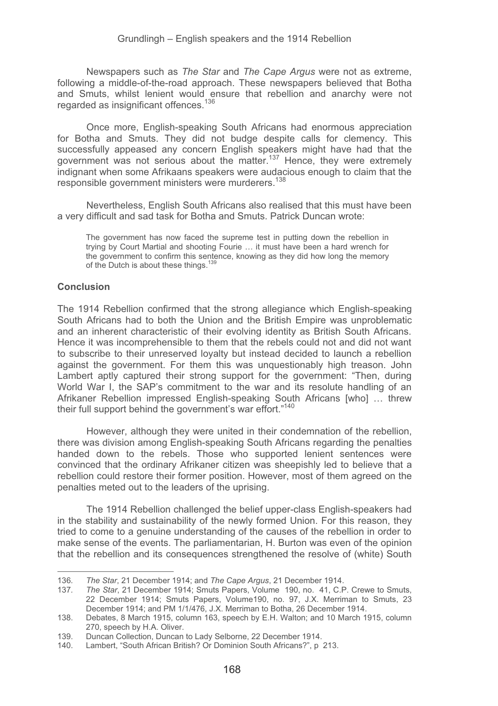Newspapers such as *The Star* and *The Cape Argus* were not as extreme, following a middle-of-the-road approach. These newspapers believed that Botha and Smuts, whilst lenient would ensure that rebellion and anarchy were not regarded as insignificant offences.<sup>136</sup>

Once more, English-speaking South Africans had enormous appreciation for Botha and Smuts. They did not budge despite calls for clemency. This successfully appeased any concern English speakers might have had that the government was not serious about the matter.<sup>137</sup> Hence, they were extremely indignant when some Afrikaans speakers were audacious enough to claim that the responsible government ministers were murderers.<sup>138</sup>

Nevertheless, English South Africans also realised that this must have been a very difficult and sad task for Botha and Smuts. Patrick Duncan wrote:

The government has now faced the supreme test in putting down the rebellion in trying by Court Martial and shooting Fourie … it must have been a hard wrench for the government to confirm this sentence, knowing as they did how long the memory of the Dutch is about these things.139

## **Conclusion**

-----------------------------------------------------------

The 1914 Rebellion confirmed that the strong allegiance which English-speaking South Africans had to both the Union and the British Empire was unproblematic and an inherent characteristic of their evolving identity as British South Africans. Hence it was incomprehensible to them that the rebels could not and did not want to subscribe to their unreserved loyalty but instead decided to launch a rebellion against the government. For them this was unquestionably high treason. John Lambert aptly captured their strong support for the government: "Then, during World War I, the SAP's commitment to the war and its resolute handling of an Afrikaner Rebellion impressed English-speaking South Africans [who] … threw their full support behind the government's war effort."140

However, although they were united in their condemnation of the rebellion, there was division among English-speaking South Africans regarding the penalties handed down to the rebels. Those who supported lenient sentences were convinced that the ordinary Afrikaner citizen was sheepishly led to believe that a rebellion could restore their former position. However, most of them agreed on the penalties meted out to the leaders of the uprising.

The 1914 Rebellion challenged the belief upper-class English-speakers had in the stability and sustainability of the newly formed Union. For this reason, they tried to come to a genuine understanding of the causes of the rebellion in order to make sense of the events. The parliamentarian, H. Burton was even of the opinion that the rebellion and its consequences strengthened the resolve of (white) South

<sup>136</sup>*. The Star*, 21 December 1914; and *The Cape Argus*, 21 December 1914.

<sup>137</sup>*. The Star*, 21 December 1914; Smuts Papers, Volume 190, no. 41, C.P. Crewe to Smuts, 22 December 1914; Smuts Papers, Volume190, no. 97, J.X. Merriman to Smuts, 23 December 1914; and PM 1/1/476, J.X. Merriman to Botha, 26 December 1914.

<sup>138.</sup> Debates, 8 March 1915, column 163, speech by E.H. Walton; and 10 March 1915, column 270, speech by H.A. Oliver.

<sup>139.</sup> Duncan Collection, Duncan to Lady Selborne, 22 December 1914.<br>140. Lambert "South African British? Or Dominion South Africans?" p

<sup>1</sup> ambert, "South African British? Or Dominion South Africans?", p 213.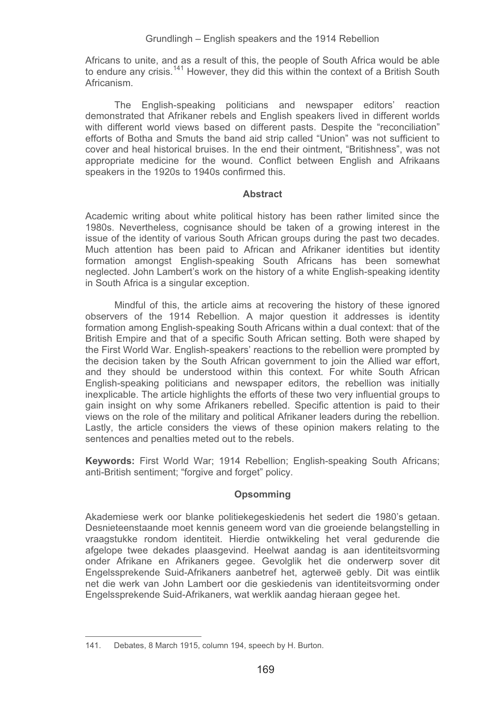Africans to unite, and as a result of this, the people of South Africa would be able to endure any crisis.141 However, they did this within the context of a British South Africanism.

The English-speaking politicians and newspaper editors' reaction demonstrated that Afrikaner rebels and English speakers lived in different worlds with different world views based on different pasts. Despite the "reconciliation" efforts of Botha and Smuts the band aid strip called "Union" was not sufficient to cover and heal historical bruises. In the end their ointment, "Britishness", was not appropriate medicine for the wound. Conflict between English and Afrikaans speakers in the 1920s to 1940s confirmed this.

### **Abstract**

Academic writing about white political history has been rather limited since the 1980s. Nevertheless, cognisance should be taken of a growing interest in the issue of the identity of various South African groups during the past two decades. Much attention has been paid to African and Afrikaner identities but identity formation amongst English-speaking South Africans has been somewhat neglected. John Lambert's work on the history of a white English-speaking identity in South Africa is a singular exception.

Mindful of this, the article aims at recovering the history of these ignored observers of the 1914 Rebellion. A major question it addresses is identity formation among English-speaking South Africans within a dual context: that of the British Empire and that of a specific South African setting. Both were shaped by the First World War. English-speakers' reactions to the rebellion were prompted by the decision taken by the South African government to join the Allied war effort, and they should be understood within this context. For white South African English-speaking politicians and newspaper editors, the rebellion was initially inexplicable. The article highlights the efforts of these two very influential groups to gain insight on why some Afrikaners rebelled. Specific attention is paid to their views on the role of the military and political Afrikaner leaders during the rebellion. Lastly, the article considers the views of these opinion makers relating to the sentences and penalties meted out to the rebels.

**Keywords:** First World War; 1914 Rebellion; English-speaking South Africans; anti-British sentiment; "forgive and forget" policy.

## **Opsomming**

Akademiese werk oor blanke politiekegeskiedenis het sedert die 1980's getaan. Desnieteenstaande moet kennis geneem word van die groeiende belangstelling in vraagstukke rondom identiteit. Hierdie ontwikkeling het veral gedurende die afgelope twee dekades plaasgevind. Heelwat aandag is aan identiteitsvorming onder Afrikane en Afrikaners gegee. Gevolglik het die onderwerp sover dit Engelssprekende Suid-Afrikaners aanbetref het, agterweë gebly. Dit was eintlik net die werk van John Lambert oor die geskiedenis van identiteitsvorming onder Engelssprekende Suid-Afrikaners, wat werklik aandag hieraan gegee het.

<sup>-</sup>--141. Debates, 8 March 1915, column 194, speech by H. Burton.